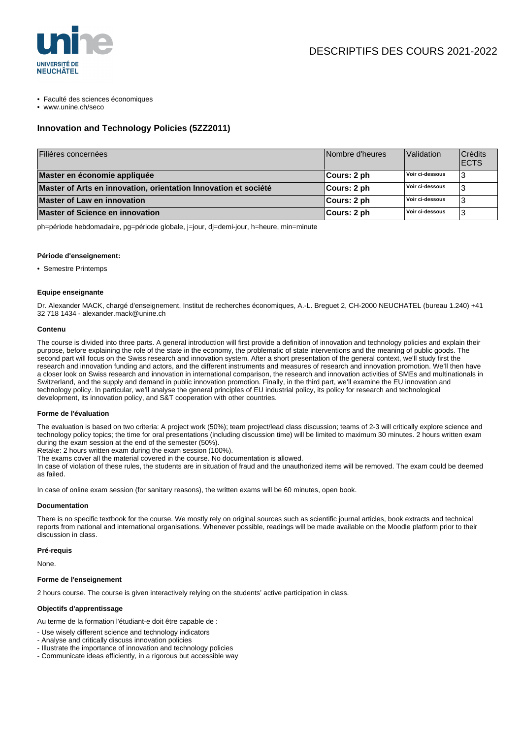

- Faculté des sciences économiques
- www.unine.ch/seco

# **Innovation and Technology Policies (5ZZ2011)**

| Filières concernées                                             | Nombre d'heures | Validation      | <b>Crédits</b><br><b>IECTS</b> |
|-----------------------------------------------------------------|-----------------|-----------------|--------------------------------|
| Master en économie appliquée                                    | ∣Cours: 2 ph    | Voir ci-dessous |                                |
| Master of Arts en innovation, orientation Innovation et société | Cours: 2 ph     | Voir ci-dessous |                                |
| <b>Master of Law en innovation</b>                              | ∣Cours: 2 ph    | Voir ci-dessous |                                |
| <b>Master of Science en innovation</b>                          | Cours: 2 ph     | Voir ci-dessous |                                |

ph=période hebdomadaire, pg=période globale, j=jour, dj=demi-jour, h=heure, min=minute

### **Période d'enseignement:**

• Semestre Printemps

### **Equipe enseignante**

Dr. Alexander MACK, chargé d'enseignement, Institut de recherches économiques, A.-L. Breguet 2, CH-2000 NEUCHATEL (bureau 1.240) +41 32 718 1434 - alexander.mack@unine.ch

#### **Contenu**

The course is divided into three parts. A general introduction will first provide a definition of innovation and technology policies and explain their purpose, before explaining the role of the state in the economy, the problematic of state interventions and the meaning of public goods. The second part will focus on the Swiss research and innovation system. After a short presentation of the general context, we'll study first the research and innovation funding and actors, and the different instruments and measures of research and innovation promotion. We'll then have a closer look on Swiss research and innovation in international comparison, the research and innovation activities of SMEs and multinationals in Switzerland, and the supply and demand in public innovation promotion. Finally, in the third part, we'll examine the EU innovation and technology policy. In particular, we'll analyse the general principles of EU industrial policy, its policy for research and technological development, its innovation policy, and S&T cooperation with other countries.

#### **Forme de l'évaluation**

The evaluation is based on two criteria: A project work (50%); team project/lead class discussion; teams of 2-3 will critically explore science and technology policy topics; the time for oral presentations (including discussion time) will be limited to maximum 30 minutes. 2 hours written exam during the exam session at the end of the semester (50%).

Retake: 2 hours written exam during the exam session (100%).

The exams cover all the material covered in the course. No documentation is allowed.

In case of violation of these rules, the students are in situation of fraud and the unauthorized items will be removed. The exam could be deemed as failed.

In case of online exam session (for sanitary reasons), the written exams will be 60 minutes, open book.

#### **Documentation**

There is no specific textbook for the course. We mostly rely on original sources such as scientific journal articles, book extracts and technical reports from national and international organisations. Whenever possible, readings will be made available on the Moodle platform prior to their discussion in class.

# **Pré-requis**

None.

# **Forme de l'enseignement**

2 hours course. The course is given interactively relying on the students' active participation in class.

# **Objectifs d'apprentissage**

Au terme de la formation l'étudiant-e doit être capable de :

- Use wisely different science and technology indicators
- Analyse and critically discuss innovation policies
- Illustrate the importance of innovation and technology policies
- Communicate ideas efficiently, in a rigorous but accessible way